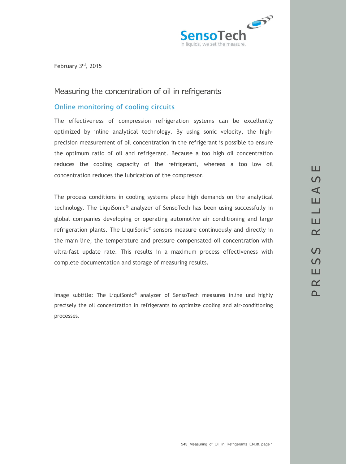

February 3rd, 2015

## Measuring the concentration of oil in refrigerants

#### Online monitoring of cooling circuits

The effectiveness of compression refrigeration systems can be excellently optimized by inline analytical technology. By using sonic velocity, the highprecision measurement of oil concentration in the refrigerant is possible to ensure the optimum ratio of oil and refrigerant. Because a too high oil concentration reduces the cooling capacity of the refrigerant, whereas a too low oil concentration reduces the lubrication of the compressor.

The process conditions in cooling systems place high demands on the analytical technology. The LiquiSonic® analyzer of SensoTech has been using successfully in global companies developing or operating automotive air conditioning and large refrigeration plants. The LiquiSonic® sensors measure continuously and directly in the main line, the temperature and pressure compensated oil concentration with ultra-fast update rate. This results in a maximum process effectiveness with complete documentation and storage of measuring results.

Image subtitle: The LiquiSonic® analyzer of SensoTech measures inline und highly precisely the oil concentration in refrigerants to optimize cooling and air-conditioning processes.